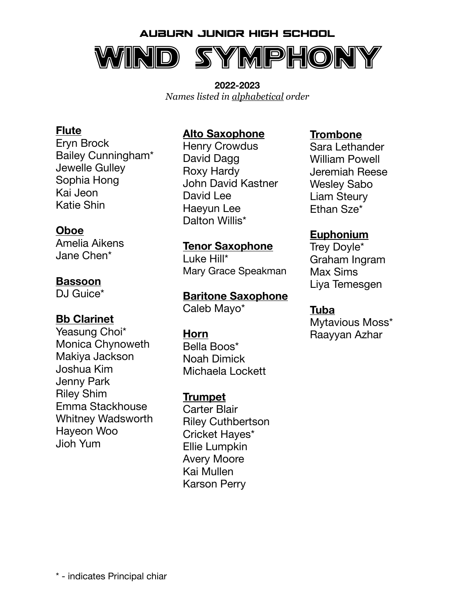

**2022-2023**  *Names listed in alphabetical order*

#### **Flute**

Eryn Brock Bailey Cunningham\* Jewelle Gulley Sophia Hong Kai Jeon Katie Shin

#### **Oboe**

Amelia Aikens Jane Chen\*

#### **Bassoon**

DJ Guice<sup>\*</sup>

#### **Bb Clarinet**

Yeasung Choi\* Monica Chynoweth Makiya Jackson Joshua Kim Jenny Park Riley Shim Emma Stackhouse Whitney Wadsworth Hayeon Woo Jioh Yum

#### **Alto Saxophone**

Henry Crowdus David Dagg Roxy Hardy John David Kastner David Lee Haeyun Lee Dalton Willis<sup>\*</sup>

#### **Tenor Saxophone**

Luke Hill\* Mary Grace Speakman

**Baritone Saxophone**  Caleb Mayo\*

#### **Horn**

Bella Boos\* Noah Dimick Michaela Lockett

#### **Trumpet**

Carter Blair Riley Cuthbertson Cricket Hayes\* Ellie Lumpkin Avery Moore Kai Mullen Karson Perry

#### **Trombone**

Sara Lethander William Powell Jeremiah Reese Wesley Sabo Liam Steury Ethan Sze\*

#### **Euphonium**

Trey Doyle\* Graham Ingram Max Sims Liya Temesgen

#### **Tuba**

Mytavious Moss\* Raayyan Azhar

\* - indicates Principal chiar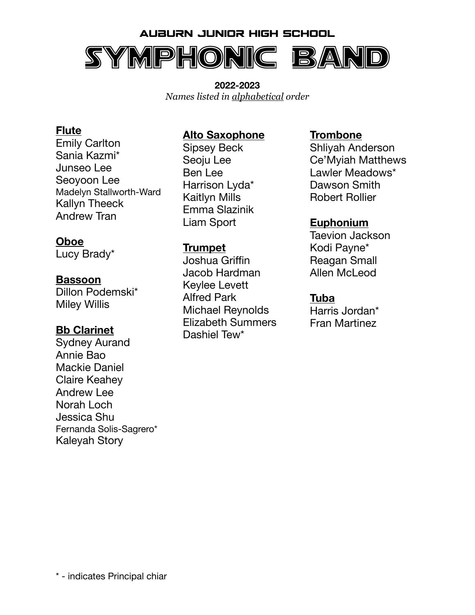# Auburn Junior High School Symphonic Band

**2022-2023**  *Names listed in alphabetical order*

#### **Flute**

Emily Carlton Sania Kazmi\* Junseo Lee Seoyoon Lee Madelyn Stallworth-Ward Kallyn Theeck Andrew Tran

#### **Oboe**

Lucy Brady\*

#### **Bassoon**

Dillon Podemski\* Miley Willis

#### **Bb Clarinet**

Sydney Aurand Annie Bao Mackie Daniel Claire Keahey Andrew Lee Norah Loch Jessica Shu Fernanda Solis-Sagrero\* Kaleyah Story

## **Alto Saxophone**

Sipsey Beck Seoju Lee Ben Lee Harrison Lyda\* Kaitlyn Mills Emma Slazinik Liam Sport

#### **Trumpet**

Joshua Griffin Jacob Hardman Keylee Levett Alfred Park Michael Reynolds Elizabeth Summers Dashiel Tew\*

#### **Trombone**

Shliyah Anderson Ce'Myiah Matthews Lawler Meadows\* Dawson Smith Robert Rollier

#### **Euphonium**

Taevion Jackson Kodi Payne\* Reagan Small Allen McLeod

#### **Tuba**

Harris Jordan\* Fran Martinez

\* - indicates Principal chiar